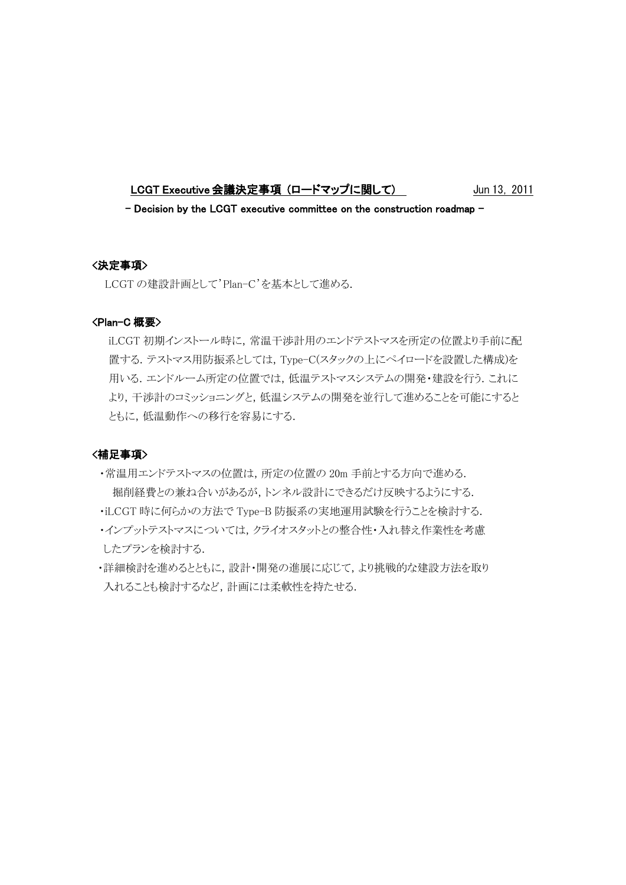LCGT Executive 会議決定事項 (ロードマップに関して) Jun 13, 2011

 $-$  Decision by the LCGT executive committee on the construction roadmap  $-$ 

# <決定事項>

LCGT の建設計画として'Plan-C'を基本として進める.

#### <Plan-C 概要>

iLCGT 初期インストール時に,常温干渉計用のエンドテストマスを所定の位置より手前に配 置する.テストマス用防振系としては,Type-C(スタックの上にペイロードを設置した構成)を 用いる.エンドルーム所定の位置では,低温テストマスシステムの開発・建設を行う.これに より,干渉計のコミッショニングと,低温システムの開発を並行して進めることを可能にすると ともに,低温動作への移行を容易にする.

# <補足事項>

- ・常温用エンドテストマスの位置は,所定の位置の 20m 手前とする方向で進める. 掘削経費との兼ね合いがあるが,トンネル設計にできるだけ反映するようにする.
- ・iLCGT 時に何らかの方法で Type-B 防振系の実地運用試験を行うことを検討する.
- ・インプットテストマスについては,クライオスタットとの整合性・入れ替え作業性を考慮 したプランを検討する.
- ・詳細検討を進めるとともに,設計・開発の進展に応じて,より挑戦的な建設方法を取り 入れることも検討するなど,計画には柔軟性を持たせる.